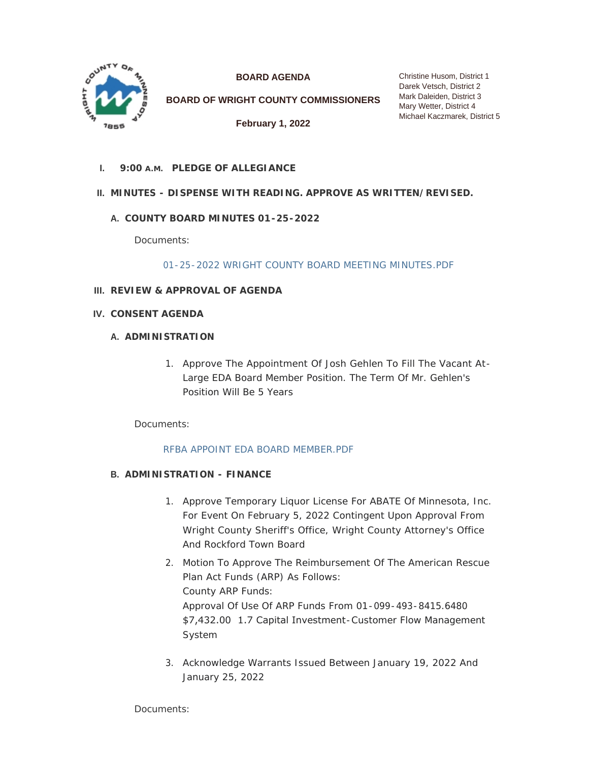

**BOARD AGENDA**

**BOARD OF WRIGHT COUNTY COMMISSIONERS**

**February 1, 2022**

Christine Husom, District 1 Darek Vetsch, District 2 Mark Daleiden, District 3 Mary Wetter, District 4 Michael Kaczmarek, District 5

**PLEDGE OF ALLEGIANCE I. 9:00 A.M.**

# **MINUTES - DISPENSE WITH READING. APPROVE AS WRITTEN/REVISED. II.**

# **COUNTY BOARD MINUTES 01-25-2022 A.**

Documents:

[01-25-2022 WRIGHT COUNTY BOARD MEETING MINUTES.PDF](https://www.co.wright.mn.us/AgendaCenter/ViewFile/Item/10294?fileID=21889)

- **REVIEW & APPROVAL OF AGENDA III.**
- **CONSENT AGENDA IV.**

# **A. ADMINISTRATION**

1. Approve The Appointment Of Josh Gehlen To Fill The Vacant At-Large EDA Board Member Position. The Term Of Mr. Gehlen's Position Will Be 5 Years

Documents:

# [RFBA APPOINT EDA BOARD MEMBER.PDF](https://www.co.wright.mn.us/AgendaCenter/ViewFile/Item/10304?fileID=21891)

# **ADMINISTRATION - FINANCE B.**

- 1. Approve Temporary Liquor License For ABATE Of Minnesota, Inc. For Event On February 5, 2022 Contingent Upon Approval From Wright County Sheriff's Office, Wright County Attorney's Office And Rockford Town Board
- 2. Motion To Approve The Reimbursement Of The American Rescue Plan Act Funds (ARP) As Follows: County ARP Funds: Approval Of Use Of ARP Funds From 01-099-493-8415.6480 \$7,432.00 1.7 Capital Investment-Customer Flow Management System
- 3. Acknowledge Warrants Issued Between January 19, 2022 And January 25, 2022

Documents: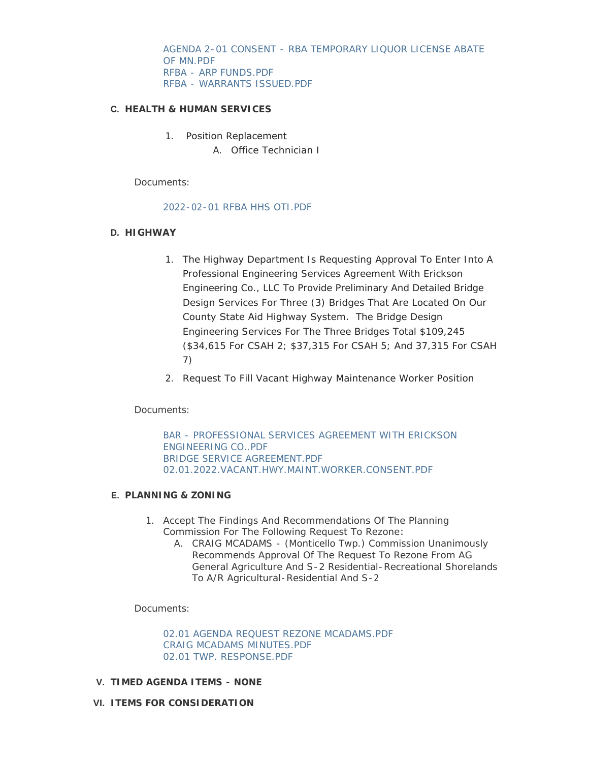[AGENDA 2-01 CONSENT - RBA TEMPORARY LIQUOR LICENSE ABATE](https://www.co.wright.mn.us/AgendaCenter/ViewFile/Item/10299?fileID=21877)  OF MN.PDF [RFBA - ARP FUNDS.PDF](https://www.co.wright.mn.us/AgendaCenter/ViewFile/Item/10299?fileID=21887) [RFBA - WARRANTS ISSUED.PDF](https://www.co.wright.mn.us/AgendaCenter/ViewFile/Item/10299?fileID=21888)

### **HEALTH & HUMAN SERVICES C.**

- 1. Position Replacement
	- A. Office Technician I

Documents:

### [2022-02-01 RFBA HHS OTI.PDF](https://www.co.wright.mn.us/AgendaCenter/ViewFile/Item/10300?fileID=21878)

### **HIGHWAY D.**

- 1. The Highway Department Is Requesting Approval To Enter Into A Professional Engineering Services Agreement With Erickson Engineering Co., LLC To Provide Preliminary And Detailed Bridge Design Services For Three (3) Bridges That Are Located On Our County State Aid Highway System. The Bridge Design Engineering Services For The Three Bridges Total \$109,245 (\$34,615 For CSAH 2; \$37,315 For CSAH 5; And 37,315 For CSAH 7)
- 2. Request To Fill Vacant Highway Maintenance Worker Position

# Documents:

[BAR - PROFESSIONAL SERVICES AGREEMENT WITH ERICKSON](https://www.co.wright.mn.us/AgendaCenter/ViewFile/Item/10298?fileID=21875)  ENGINEERING CO..PDF [BRIDGE SERVICE AGREEMENT.PDF](https://www.co.wright.mn.us/AgendaCenter/ViewFile/Item/10298?fileID=21876) [02.01.2022.VACANT.HWY.MAINT.WORKER.CONSENT.PDF](https://www.co.wright.mn.us/AgendaCenter/ViewFile/Item/10298?fileID=21890)

#### **PLANNING & ZONING E.**

- 1. Accept The Findings And Recommendations Of The Planning Commission For The Following Request To Rezone:
	- A. CRAIG MCADAMS (Monticello Twp.) Commission Unanimously Recommends Approval Of The Request To Rezone From AG General Agriculture And S-2 Residential-Recreational Shorelands To A/R Agricultural-Residential And S-2

Documents:

[02.01 AGENDA REQUEST REZONE MCADAMS.PDF](https://www.co.wright.mn.us/AgendaCenter/ViewFile/Item/10284?fileID=21873) [CRAIG MCADAMS MINUTES.PDF](https://www.co.wright.mn.us/AgendaCenter/ViewFile/Item/10284?fileID=21872) [02.01 TWP. RESPONSE.PDF](https://www.co.wright.mn.us/AgendaCenter/ViewFile/Item/10284?fileID=21874)

- **TIMED AGENDA ITEMS NONE V.**
- **ITEMS FOR CONSIDERATION VI.**